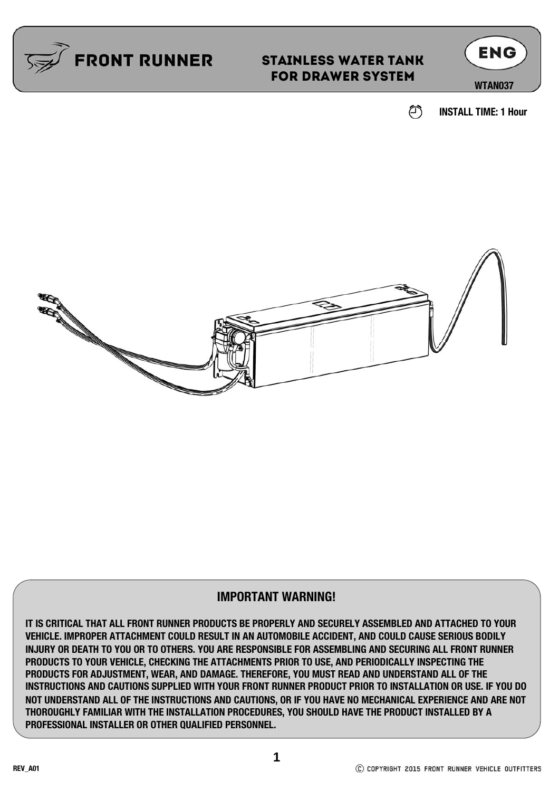

### STAINLESS WATER TANK FOR DRAWER SYSTEM



**INSTALL TIME: 1 Hour**

☎



#### **IMPORTANT WARNING!**

**IT IS CRITICAL THAT ALL FRONT RUNNER PRODUCTS BE PROPERLY AND SECURELY ASSEMBLED AND ATTACHED TO YOUR VEHICLE. IMPROPER ATTACHMENT COULD RESULT IN AN AUTOMOBILE ACCIDENT, AND COULD CAUSE SERIOUS BODILY INJURY OR DEATH TO YOU OR TO OTHERS. YOU ARE RESPONSIBLE FOR ASSEMBLING AND SECURING ALL FRONT RUNNER PRODUCTS TO YOUR VEHICLE, CHECKING THE ATTACHMENTS PRIOR TO USE, AND PERIODICALLY INSPECTING THE PRODUCTS FOR ADJUSTMENT, WEAR, AND DAMAGE. THEREFORE, YOU MUST READ AND UNDERSTAND ALL OF THE INSTRUCTIONS AND CAUTIONS SUPPLIED WITH YOUR FRONT RUNNER PRODUCT PRIOR TO INSTALLATION OR USE. IF YOU DO NOT UNDERSTAND ALL OF THE INSTRUCTIONS AND CAUTIONS, OR IF YOU HAVE NO MECHANICAL EXPERIENCE AND ARE NOT THOROUGHLY FAMILIAR WITH THE INSTALLATION PROCEDURES, YOU SHOULD HAVE THE PRODUCT INSTALLED BY A PROFESSIONAL INSTALLER OR OTHER QUALIFIED PERSONNEL.**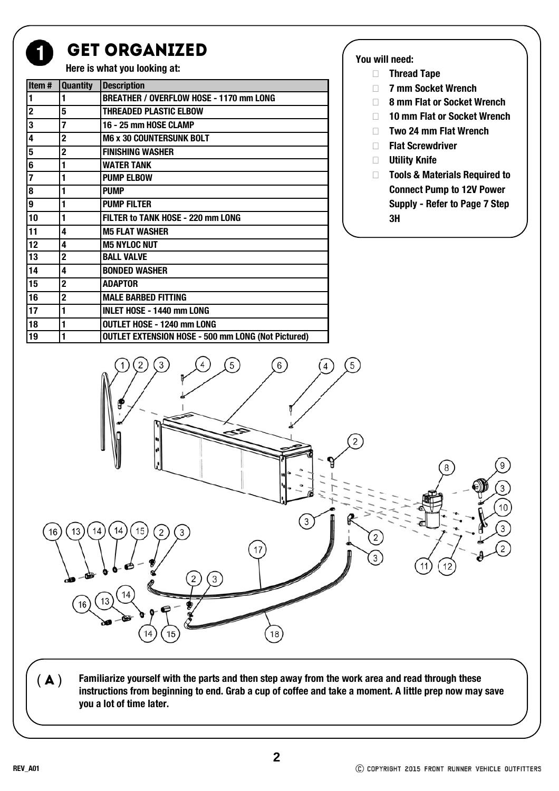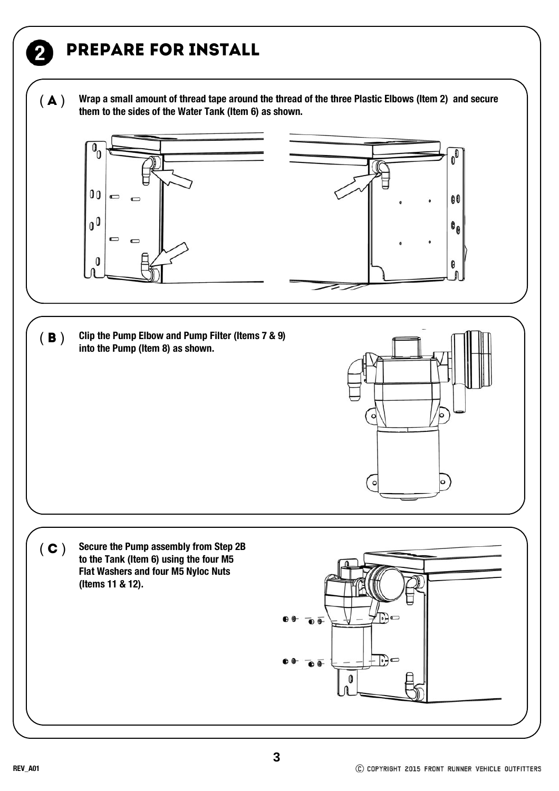## Prepare FOR INSTALL

( $\bf{A}$ ) Wrap a small amount of thread tape around the thread of the three Plastic Elbows (Item 2) and secure them to the sides of the Water Tank (Item 6) as shown.



( C ) Secure the Pump assembly from Step 2B **to the Tank (Item 6) using the four M5 Flat Washers and four M5 Nyloc Nuts (Items 11 & 12).**

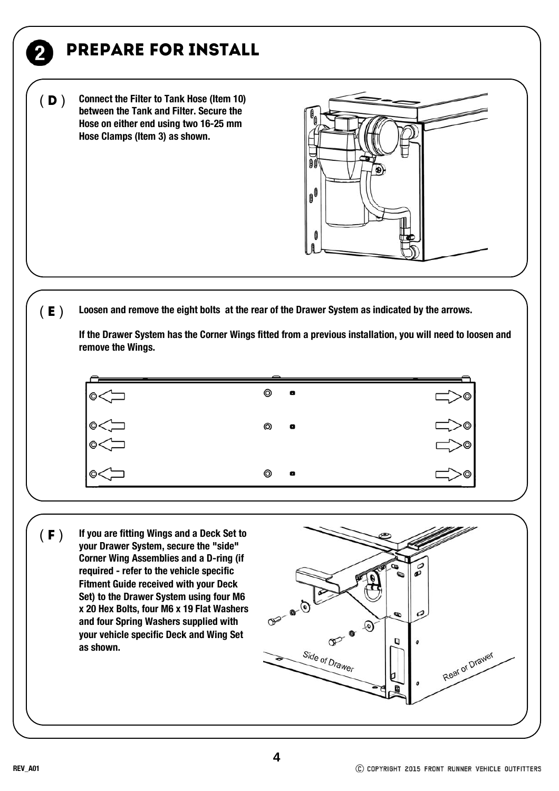# Prepare FOR INSTALL

**Connect the Filter to Tank Hose (Item 10) between the Tank and Filter. Secure the Hose on either end using two 16-25 mm Hose Clamps (Item 3) as shown.**   $(D)$ 



**Loosen and remove the eight bolts at the rear of the Drawer System as indicated by the arrows.**   $(E)$ 

**If the Drawer System has the Corner Wings fitted from a previous installation, you will need to loosen and remove the Wings.** 



( $\boldsymbol{F}$ ) If you are fitting Wings and a Deck Set to **your Drawer System, secure the "side" Corner Wing Assemblies and a D-ring (if required - refer to the vehicle specific Fitment Guide received with your Deck Set) to the Drawer System using four M6 x 20 Hex Bolts, four M6 x 19 Flat Washers and four Spring Washers supplied with your vehicle specific Deck and Wing Set as shown.**

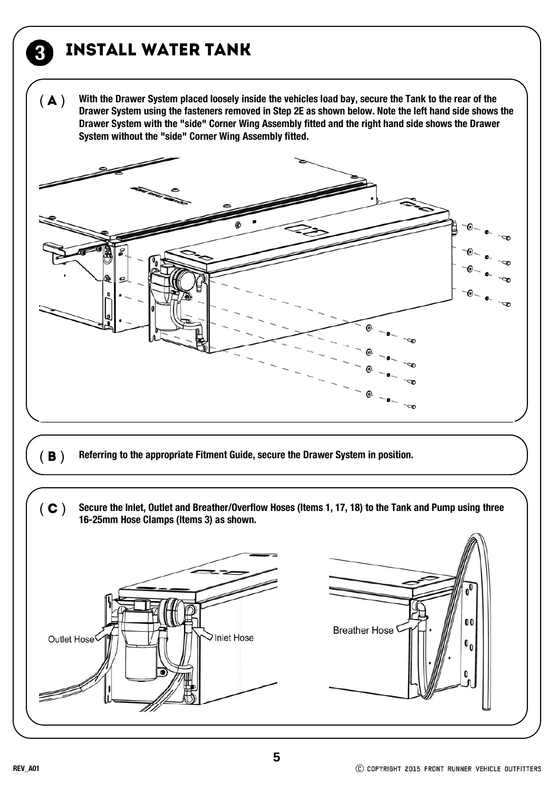# INSTALL Water Tank

3

**With the Drawer System placed loosely inside the vehicles load bay, secure the Tank to the rear of the Drawer System using the fasteners removed in Step 2E as shown below. Note the left hand side shows the Drawer System with the "side" Corner Wing Assembly fitted and the right hand side shows the Drawer System without the "side" Corner Wing Assembly fitted.**   $(A)$ 



- **(B)** Referring to the appropriate Fitment Guide, secure the Drawer System in position.
- ( C ) Secure the Inlet, Outlet and Breather/Overflow Hoses (Items 1, 17, 18) to the Tank and Pump using three 16-25mm Hose Clamps (Items 3) as shown.  $\mathbf{0}$ **Breather Hose** Inlet Hose Outlet Hose  $\mathbf{0}_{0}$  $\mathbf{0}$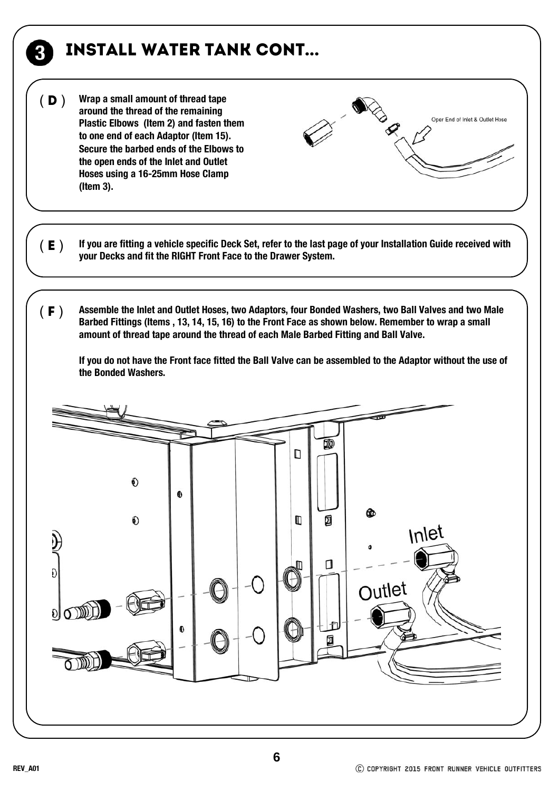